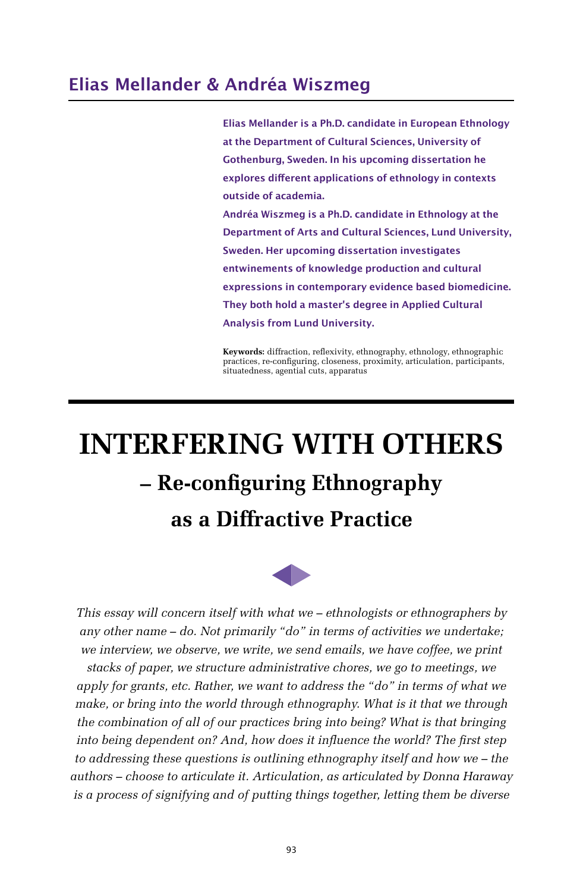## **Elias Mellander & Andréa Wiszmeg**

**Elias Mellander is a Ph.D. candidate in European Ethnology at the Department of Cultural Sciences, University of Gothenburg, Sweden. In his upcoming dissertation he explores different applications of ethnology in contexts outside of academia. Andréa Wiszmeg is a Ph.D. candidate in Ethnology at the Department of Arts and Cultural Sciences, Lund University, Sweden. Her upcoming dissertation investigates entwinements of knowledge production and cultural expressions in contemporary evidence based biomedicine. They both hold a master's degree in Applied Cultural Analysis from Lund University.**

**Keywords:** diffraction, reflexivity, ethnography, ethnology, ethnographic practices, re-configuring, closeness, proximity, articulation, participants, situatedness, agential cuts, apparatus

# **INTERFERING WITH OTHERS – Re-configuring Ethnography as a Diffractive Practice**



*This essay will concern itself with what we – ethnologists or ethnographers by any other name – do. Not primarily "do" in terms of activities we undertake; we interview, we observe, we write, we send emails, we have coffee, we print* 

*stacks of paper, we structure administrative chores, we go to meetings, we apply for grants, etc. Rather, we want to address the "do" in terms of what we make, or bring into the world through ethnography. What is it that we through the combination of all of our practices bring into being? What is that bringing into being dependent on? And, how does it influence the world? The first step to addressing these questions is outlining ethnography itself and how we – the authors – choose to articulate it. Articulation, as articulated by Donna Haraway is a process of signifying and of putting things together, letting them be diverse*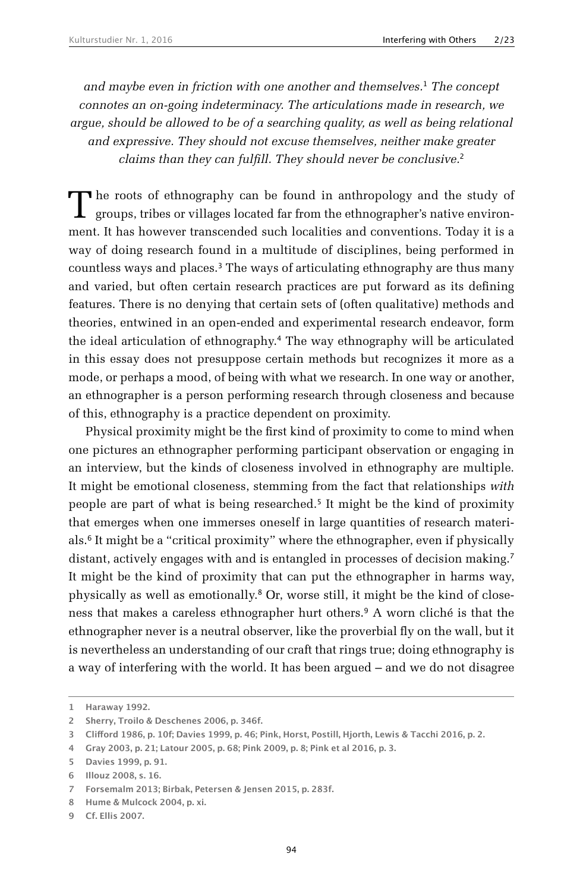*and maybe even in friction with one another and themselves.*1 *The concept connotes an on-going indeterminacy. The articulations made in research, we argue, should be allowed to be of a searching quality, as well as being relational and expressive. They should not excuse themselves, neither make greater claims than they can fulfill. They should never be conclusive.*<sup>2</sup>

The roots of ethnography can be found in anthropology and the study of groups, tribes or villages located far from the ethnographer's native environment. It has however transcended such localities and conventions. Today it is a way of doing research found in a multitude of disciplines, being performed in countless ways and places.<sup>3</sup> The ways of articulating ethnography are thus many and varied, but often certain research practices are put forward as its defining features. There is no denying that certain sets of (often qualitative) methods and theories, entwined in an open-ended and experimental research endeavor, form the ideal articulation of ethnography.4 The way ethnography will be articulated in this essay does not presuppose certain methods but recognizes it more as a mode, or perhaps a mood, of being with what we research. In one way or another, an ethnographer is a person performing research through closeness and because of this, ethnography is a practice dependent on proximity.

Physical proximity might be the first kind of proximity to come to mind when one pictures an ethnographer performing participant observation or engaging in an interview, but the kinds of closeness involved in ethnography are multiple. It might be emotional closeness, stemming from the fact that relationships *with* people are part of what is being researched.5 It might be the kind of proximity that emerges when one immerses oneself in large quantities of research materials.6 It might be a "critical proximity" where the ethnographer, even if physically distant, actively engages with and is entangled in processes of decision making.<sup>7</sup> It might be the kind of proximity that can put the ethnographer in harms way, physically as well as emotionally.8 Or, worse still, it might be the kind of closeness that makes a careless ethnographer hurt others.9 A worn cliché is that the ethnographer never is a neutral observer, like the proverbial fly on the wall, but it is nevertheless an understanding of our craft that rings true; doing ethnography is a way of interfering with the world. It has been argued – and we do not disagree

**<sup>1</sup> Haraway 1992.**

**<sup>2</sup> Sherry, Troilo & Deschenes 2006, p. 346f.**

**<sup>3</sup> Clifford 1986, p. 10f; Davies 1999, p. 46; Pink, Horst, Postill, Hjorth, Lewis & Tacchi 2016, p. 2.**

**<sup>4</sup> Gray 2003, p. 21; Latour 2005, p. 68; Pink 2009, p. 8; Pink et al 2016, p. 3.**

**<sup>5</sup> Davies 1999, p. 91.**

**<sup>6</sup> Illouz 2008, s. 16.**

**<sup>7</sup> Forsemalm 2013; Birbak, Petersen & Jensen 2015, p. 283f.**

**<sup>8</sup> Hume & Mulcock 2004, p. xi.**

**<sup>9</sup> Cf. Ellis 2007.**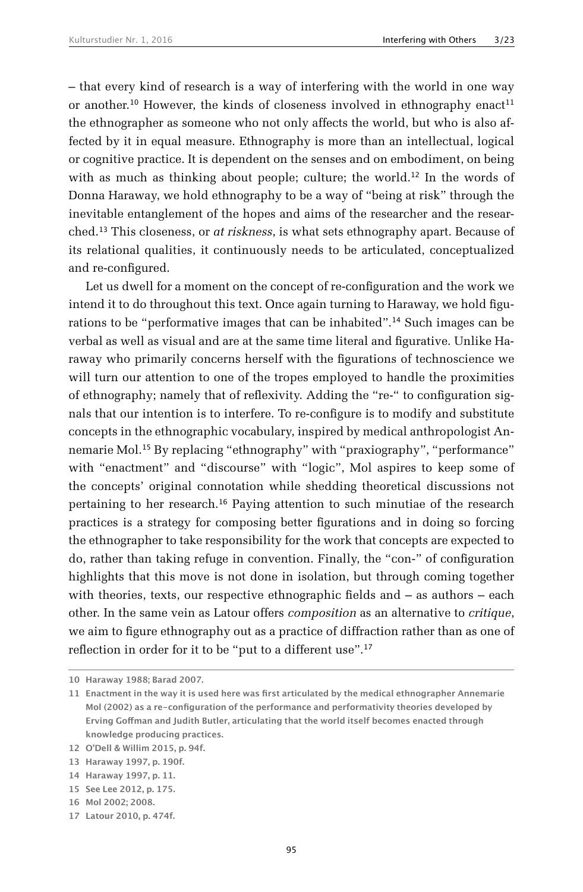– that every kind of research is a way of interfering with the world in one way or another.<sup>10</sup> However, the kinds of closeness involved in ethnography enact<sup>11</sup> the ethnographer as someone who not only affects the world, but who is also affected by it in equal measure. Ethnography is more than an intellectual, logical or cognitive practice. It is dependent on the senses and on embodiment, on being with as much as thinking about people; culture; the world.<sup>12</sup> In the words of Donna Haraway, we hold ethnography to be a way of "being at risk" through the inevitable entanglement of the hopes and aims of the researcher and the researched.13 This closeness, or *at riskness*, is what sets ethnography apart. Because of its relational qualities, it continuously needs to be articulated, conceptualized and re-configured.

Let us dwell for a moment on the concept of re-configuration and the work we intend it to do throughout this text. Once again turning to Haraway, we hold figurations to be "performative images that can be inhabited".14 Such images can be verbal as well as visual and are at the same time literal and figurative. Unlike Haraway who primarily concerns herself with the figurations of technoscience we will turn our attention to one of the tropes employed to handle the proximities of ethnography; namely that of reflexivity. Adding the "re-" to configuration signals that our intention is to interfere. To re-configure is to modify and substitute concepts in the ethnographic vocabulary, inspired by medical anthropologist Annemarie Mol.15 By replacing "ethnography" with "praxiography", "performance" with "enactment" and "discourse" with "logic", Mol aspires to keep some of the concepts' original connotation while shedding theoretical discussions not pertaining to her research.16 Paying attention to such minutiae of the research practices is a strategy for composing better figurations and in doing so forcing the ethnographer to take responsibility for the work that concepts are expected to do, rather than taking refuge in convention. Finally, the "con-" of configuration highlights that this move is not done in isolation, but through coming together with theories, texts, our respective ethnographic fields and  $-$  as authors  $-$  each other. In the same vein as Latour offers *composition* as an alternative to *critique*, we aim to figure ethnography out as a practice of diffraction rather than as one of reflection in order for it to be "put to a different use".<sup>17</sup>

**<sup>10</sup> Haraway 1988; Barad 2007.**

**<sup>11</sup> Enactment in the way it is used here was first articulated by the medical ethnographer Annemarie Mol (2002) as a re-configuration of the performance and performativity theories developed by Erving Goffman and Judith Butler, articulating that the world itself becomes enacted through knowledge producing practices.**

**<sup>12</sup> O'Dell & Willim 2015, p. 94f.**

**<sup>13</sup> Haraway 1997, p. 190f.**

**<sup>14</sup> Haraway 1997, p. 11.**

**<sup>15</sup> See Lee 2012, p. 175.**

**<sup>16</sup> Mol 2002; 2008.**

**<sup>17</sup> Latour 2010, p. 474f.**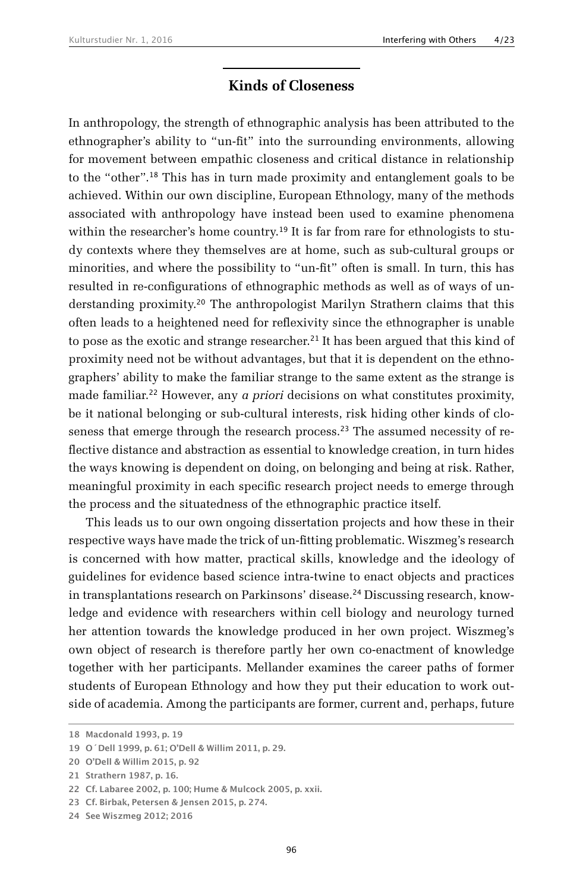#### **Kinds of Closeness**

In anthropology, the strength of ethnographic analysis has been attributed to the ethnographer's ability to "un-fit" into the surrounding environments, allowing for movement between empathic closeness and critical distance in relationship to the "other".18 This has in turn made proximity and entanglement goals to be achieved. Within our own discipline, European Ethnology, many of the methods associated with anthropology have instead been used to examine phenomena within the researcher's home country.<sup>19</sup> It is far from rare for ethnologists to study contexts where they themselves are at home, such as sub-cultural groups or minorities, and where the possibility to "un-fit" often is small. In turn, this has resulted in re-configurations of ethnographic methods as well as of ways of understanding proximity.20 The anthropologist Marilyn Strathern claims that this often leads to a heightened need for reflexivity since the ethnographer is unable to pose as the exotic and strange researcher.<sup>21</sup> It has been argued that this kind of proximity need not be without advantages, but that it is dependent on the ethnographers' ability to make the familiar strange to the same extent as the strange is made familiar.22 However, any *a priori* decisions on what constitutes proximity, be it national belonging or sub-cultural interests, risk hiding other kinds of closeness that emerge through the research process.23 The assumed necessity of reflective distance and abstraction as essential to knowledge creation, in turn hides the ways knowing is dependent on doing, on belonging and being at risk. Rather, meaningful proximity in each specific research project needs to emerge through the process and the situatedness of the ethnographic practice itself.

This leads us to our own ongoing dissertation projects and how these in their respective ways have made the trick of un-fitting problematic. Wiszmeg's research is concerned with how matter, practical skills, knowledge and the ideology of guidelines for evidence based science intra-twine to enact objects and practices in transplantations research on Parkinsons' disease.<sup>24</sup> Discussing research, knowledge and evidence with researchers within cell biology and neurology turned her attention towards the knowledge produced in her own project. Wiszmeg's own object of research is therefore partly her own co-enactment of knowledge together with her participants. Mellander examines the career paths of former students of European Ethnology and how they put their education to work outside of academia. Among the participants are former, current and, perhaps, future

**<sup>18</sup> Macdonald 1993, p. 19**

**<sup>19</sup> O´Dell 1999, p. 61; O'Dell & Willim 2011, p. 29.**

**<sup>20</sup> O'Dell & Willim 2015, p. 92**

**<sup>21</sup> Strathern 1987, p. 16.**

**<sup>22</sup> Cf. Labaree 2002, p. 100; Hume & Mulcock 2005, p. xxii.**

**<sup>23</sup> Cf. Birbak, Petersen & Jensen 2015, p. 274.**

**<sup>24</sup> See Wiszmeg 2012; 2016**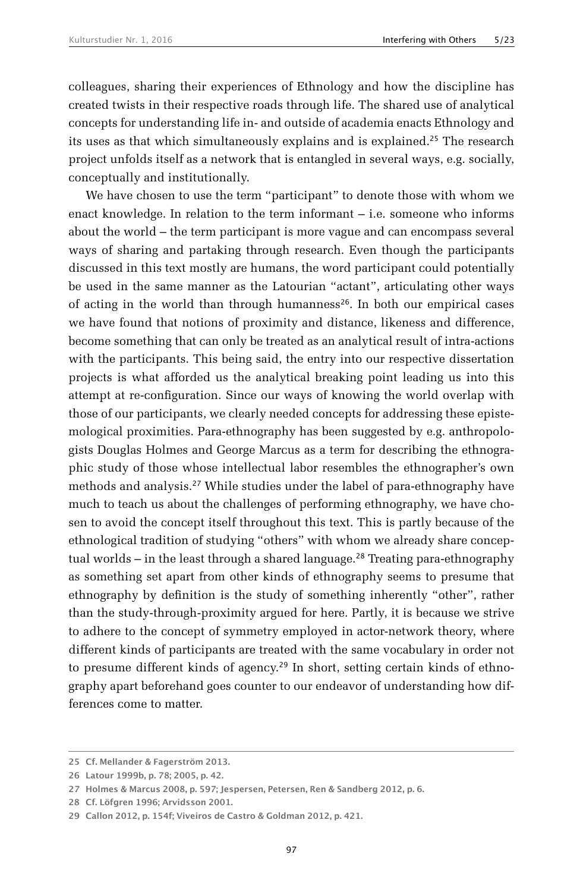colleagues, sharing their experiences of Ethnology and how the discipline has created twists in their respective roads through life. The shared use of analytical concepts for understanding life in- and outside of academia enacts Ethnology and its uses as that which simultaneously explains and is explained.<sup>25</sup> The research project unfolds itself as a network that is entangled in several ways, e.g. socially, conceptually and institutionally.

We have chosen to use the term "participant" to denote those with whom we enact knowledge. In relation to the term informant – i.e. someone who informs about the world – the term participant is more vague and can encompass several ways of sharing and partaking through research. Even though the participants discussed in this text mostly are humans, the word participant could potentially be used in the same manner as the Latourian "actant", articulating other ways of acting in the world than through humanness<sup>26</sup>. In both our empirical cases we have found that notions of proximity and distance, likeness and difference, become something that can only be treated as an analytical result of intra-actions with the participants. This being said, the entry into our respective dissertation projects is what afforded us the analytical breaking point leading us into this attempt at re-configuration. Since our ways of knowing the world overlap with those of our participants, we clearly needed concepts for addressing these epistemological proximities. Para-ethnography has been suggested by e.g. anthropologists Douglas Holmes and George Marcus as a term for describing the ethnographic study of those whose intellectual labor resembles the ethnographer's own methods and analysis.27 While studies under the label of para-ethnography have much to teach us about the challenges of performing ethnography, we have chosen to avoid the concept itself throughout this text. This is partly because of the ethnological tradition of studying "others" with whom we already share conceptual worlds – in the least through a shared language.<sup>28</sup> Treating para-ethnography as something set apart from other kinds of ethnography seems to presume that ethnography by definition is the study of something inherently "other", rather than the study-through-proximity argued for here. Partly, it is because we strive to adhere to the concept of symmetry employed in actor-network theory, where different kinds of participants are treated with the same vocabulary in order not to presume different kinds of agency.<sup>29</sup> In short, setting certain kinds of ethnography apart beforehand goes counter to our endeavor of understanding how differences come to matter.

**<sup>25</sup> Cf. Mellander & Fagerström 2013.**

**<sup>26</sup> Latour 1999b, p. 78; 2005, p. 42.**

**<sup>27</sup> Holmes & Marcus 2008, p. 597; Jespersen, Petersen, Ren & Sandberg 2012, p. 6.**

**<sup>28</sup> Cf. Löfgren 1996; Arvidsson 2001.**

**<sup>29</sup> Callon 2012, p. 154f; Viveiros de Castro & Goldman 2012, p. 421.**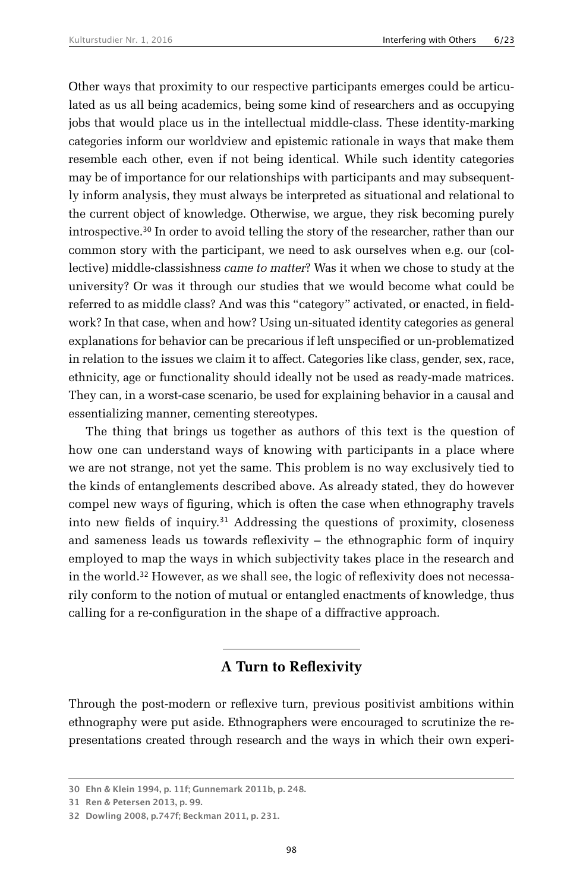Other ways that proximity to our respective participants emerges could be articulated as us all being academics, being some kind of researchers and as occupying jobs that would place us in the intellectual middle-class. These identity-marking categories inform our worldview and epistemic rationale in ways that make them resemble each other, even if not being identical. While such identity categories may be of importance for our relationships with participants and may subsequently inform analysis, they must always be interpreted as situational and relational to the current object of knowledge. Otherwise, we argue, they risk becoming purely introspective.30 In order to avoid telling the story of the researcher, rather than our common story with the participant, we need to ask ourselves when e.g. our (collective) middle-classishness *came to matter*? Was it when we chose to study at the university? Or was it through our studies that we would become what could be referred to as middle class? And was this "category" activated, or enacted, in fieldwork? In that case, when and how? Using un-situated identity categories as general explanations for behavior can be precarious if left unspecified or un-problematized in relation to the issues we claim it to affect. Categories like class, gender, sex, race, ethnicity, age or functionality should ideally not be used as ready-made matrices. They can, in a worst-case scenario, be used for explaining behavior in a causal and essentializing manner, cementing stereotypes.

The thing that brings us together as authors of this text is the question of how one can understand ways of knowing with participants in a place where we are not strange, not yet the same. This problem is no way exclusively tied to the kinds of entanglements described above. As already stated, they do however compel new ways of figuring, which is often the case when ethnography travels into new fields of inquiry.31 Addressing the questions of proximity, closeness and sameness leads us towards reflexivity – the ethnographic form of inquiry employed to map the ways in which subjectivity takes place in the research and in the world.32 However, as we shall see, the logic of reflexivity does not necessarily conform to the notion of mutual or entangled enactments of knowledge, thus calling for a re-configuration in the shape of a diffractive approach.

## **A Turn to Reflexivity**

Through the post-modern or reflexive turn, previous positivist ambitions within ethnography were put aside. Ethnographers were encouraged to scrutinize the representations created through research and the ways in which their own experi-

**<sup>30</sup> Ehn & Klein 1994, p. 11f; Gunnemark 2011b, p. 248.**

**<sup>31</sup> Ren & Petersen 2013, p. 99.**

**<sup>32</sup> Dowling 2008, p.747f; Beckman 2011, p. 231.**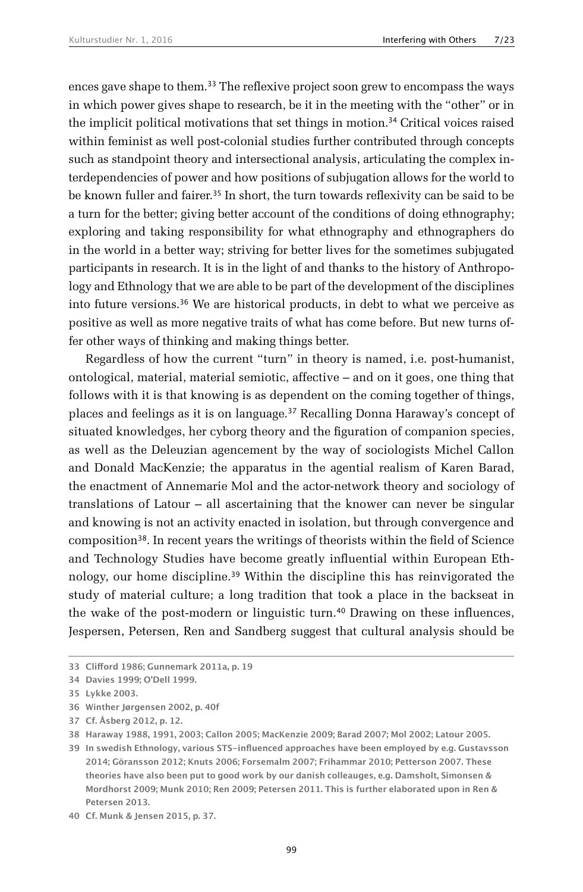ences gave shape to them.<sup>33</sup> The reflexive project soon grew to encompass the ways in which power gives shape to research, be it in the meeting with the "other" or in the implicit political motivations that set things in motion.34 Critical voices raised within feminist as well post-colonial studies further contributed through concepts such as standpoint theory and intersectional analysis, articulating the complex interdependencies of power and how positions of subjugation allows for the world to be known fuller and fairer.<sup>35</sup> In short, the turn towards reflexivity can be said to be a turn for the better; giving better account of the conditions of doing ethnography; exploring and taking responsibility for what ethnography and ethnographers do in the world in a better way; striving for better lives for the sometimes subjugated participants in research. It is in the light of and thanks to the history of Anthropology and Ethnology that we are able to be part of the development of the disciplines into future versions.<sup>36</sup> We are historical products, in debt to what we perceive as positive as well as more negative traits of what has come before. But new turns offer other ways of thinking and making things better.

Regardless of how the current "turn" in theory is named, i.e. post-humanist, ontological, material, material semiotic, affective – and on it goes, one thing that follows with it is that knowing is as dependent on the coming together of things, places and feelings as it is on language.37 Recalling Donna Haraway's concept of situated knowledges, her cyborg theory and the figuration of companion species, as well as the Deleuzian agencement by the way of sociologists Michel Callon and Donald MacKenzie; the apparatus in the agential realism of Karen Barad, the enactment of Annemarie Mol and the actor-network theory and sociology of translations of Latour – all ascertaining that the knower can never be singular and knowing is not an activity enacted in isolation, but through convergence and composition38. In recent years the writings of theorists within the field of Science and Technology Studies have become greatly influential within European Ethnology, our home discipline.<sup>39</sup> Within the discipline this has reinvigorated the study of material culture; a long tradition that took a place in the backseat in the wake of the post-modern or linguistic turn.40 Drawing on these influences, Jespersen, Petersen, Ren and Sandberg suggest that cultural analysis should be

**36 Winther Jørgensen 2002, p. 40f**

**<sup>33</sup> Clifford 1986; Gunnemark 2011a, p. 19**

**<sup>34</sup> Davies 1999; O'Dell 1999.**

**<sup>35</sup> Lykke 2003.**

**<sup>37</sup> Cf. Åsberg 2012, p. 12.**

**<sup>38</sup> Haraway 1988, 1991, 2003; Callon 2005; MacKenzie 2009; Barad 2007; Mol 2002; Latour 2005.**

**<sup>39</sup> In swedish Ethnology, various STS-influenced approaches have been employed by e.g. Gustavsson 2014; Göransson 2012; Knuts 2006; Forsemalm 2007; Frihammar 2010; Petterson 2007. These theories have also been put to good work by our danish colleauges, e.g. Damsholt, Simonsen & Mordhorst 2009; Munk 2010; Ren 2009; Petersen 2011. This is further elaborated upon in Ren & Petersen 2013.**

**<sup>40</sup> Cf. Munk & Jensen 2015, p. 37.**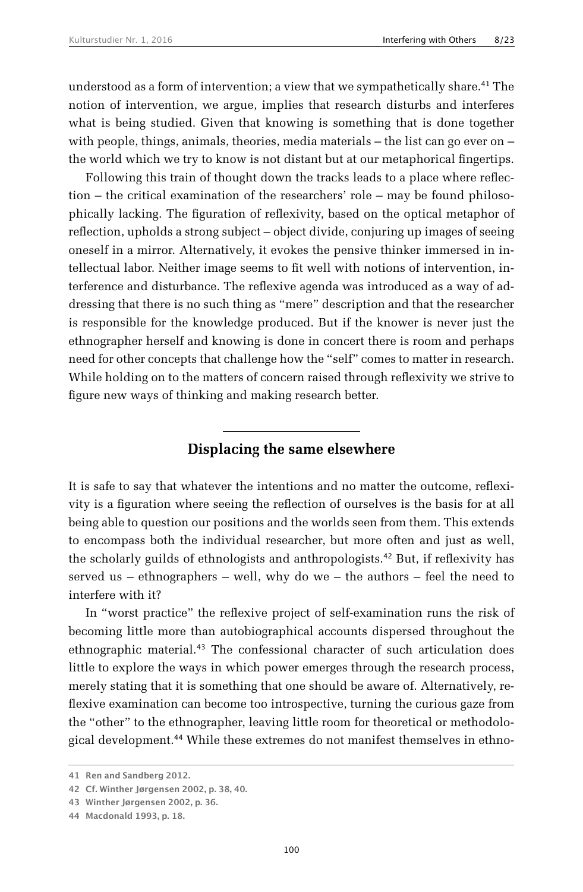understood as a form of intervention; a view that we sympathetically share.<sup>41</sup> The notion of intervention, we argue, implies that research disturbs and interferes what is being studied. Given that knowing is something that is done together with people, things, animals, theories, media materials  $-$  the list can go ever on  $$ the world which we try to know is not distant but at our metaphorical fingertips.

Following this train of thought down the tracks leads to a place where reflection – the critical examination of the researchers' role – may be found philosophically lacking. The figuration of reflexivity, based on the optical metaphor of reflection, upholds a strong subject – object divide, conjuring up images of seeing oneself in a mirror. Alternatively, it evokes the pensive thinker immersed in intellectual labor. Neither image seems to fit well with notions of intervention, interference and disturbance. The reflexive agenda was introduced as a way of addressing that there is no such thing as "mere" description and that the researcher is responsible for the knowledge produced. But if the knower is never just the ethnographer herself and knowing is done in concert there is room and perhaps need for other concepts that challenge how the "self" comes to matter in research. While holding on to the matters of concern raised through reflexivity we strive to figure new ways of thinking and making research better.

### **Displacing the same elsewhere**

It is safe to say that whatever the intentions and no matter the outcome, reflexivity is a figuration where seeing the reflection of ourselves is the basis for at all being able to question our positions and the worlds seen from them. This extends to encompass both the individual researcher, but more often and just as well, the scholarly guilds of ethnologists and anthropologists.42 But, if reflexivity has served us – ethnographers – well, why do we – the authors – feel the need to interfere with it?

In "worst practice" the reflexive project of self-examination runs the risk of becoming little more than autobiographical accounts dispersed throughout the ethnographic material.43 The confessional character of such articulation does little to explore the ways in which power emerges through the research process, merely stating that it is something that one should be aware of. Alternatively, reflexive examination can become too introspective, turning the curious gaze from the "other" to the ethnographer, leaving little room for theoretical or methodological development.44 While these extremes do not manifest themselves in ethno-

**<sup>41</sup> Ren and Sandberg 2012.**

**<sup>42</sup> Cf. Winther Jørgensen 2002, p. 38, 40.**

**<sup>43</sup> Winther Jørgensen 2002, p. 36.**

**<sup>44</sup> Macdonald 1993, p. 18.**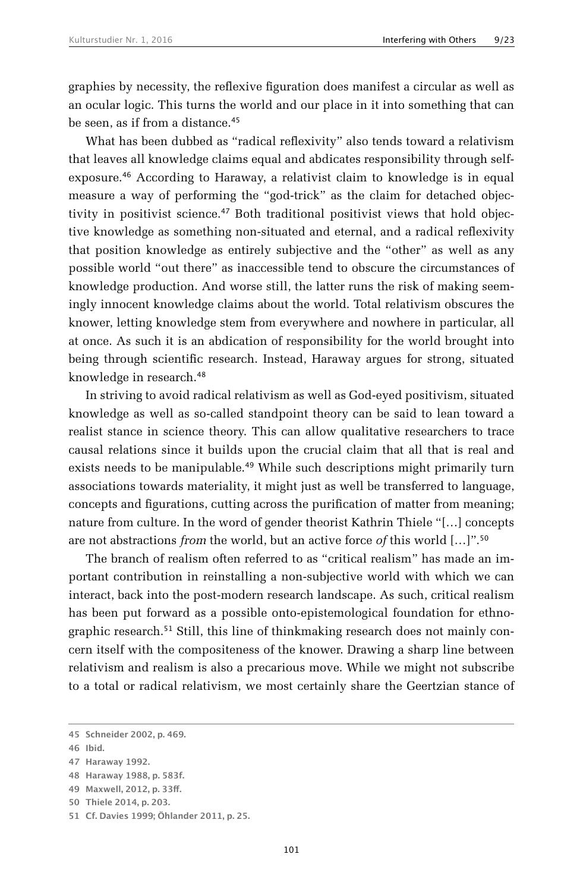graphies by necessity, the reflexive figuration does manifest a circular as well as an ocular logic. This turns the world and our place in it into something that can be seen, as if from a distance.<sup>45</sup>

What has been dubbed as "radical reflexivity" also tends toward a relativism that leaves all knowledge claims equal and abdicates responsibility through selfexposure.46 According to Haraway, a relativist claim to knowledge is in equal measure a way of performing the "god-trick" as the claim for detached objectivity in positivist science.<sup>47</sup> Both traditional positivist views that hold objective knowledge as something non-situated and eternal, and a radical reflexivity that position knowledge as entirely subjective and the "other" as well as any possible world "out there" as inaccessible tend to obscure the circumstances of knowledge production. And worse still, the latter runs the risk of making seemingly innocent knowledge claims about the world. Total relativism obscures the knower, letting knowledge stem from everywhere and nowhere in particular, all at once. As such it is an abdication of responsibility for the world brought into being through scientific research. Instead, Haraway argues for strong, situated knowledge in research.<sup>48</sup>

In striving to avoid radical relativism as well as God-eyed positivism, situated knowledge as well as so-called standpoint theory can be said to lean toward a realist stance in science theory. This can allow qualitative researchers to trace causal relations since it builds upon the crucial claim that all that is real and exists needs to be manipulable.<sup>49</sup> While such descriptions might primarily turn associations towards materiality, it might just as well be transferred to language, concepts and figurations, cutting across the purification of matter from meaning; nature from culture. In the word of gender theorist Kathrin Thiele "[…] concepts are not abstractions *from* the world, but an active force *of* this world […]".<sup>50</sup>

The branch of realism often referred to as "critical realism" has made an important contribution in reinstalling a non-subjective world with which we can interact, back into the post-modern research landscape. As such, critical realism has been put forward as a possible onto-epistemological foundation for ethnographic research.<sup>51</sup> Still, this line of thinkmaking research does not mainly concern itself with the compositeness of the knower. Drawing a sharp line between relativism and realism is also a precarious move. While we might not subscribe to a total or radical relativism, we most certainly share the Geertzian stance of

**<sup>45</sup> Schneider 2002, p. 469.**

**<sup>46</sup> Ibid.**

**<sup>47</sup> Haraway 1992.**

**<sup>48</sup> Haraway 1988, p. 583f.**

**<sup>49</sup> Maxwell, 2012, p. 33ff.**

**<sup>50</sup> Thiele 2014, p. 203.**

**<sup>51</sup> Cf. Davies 1999; Öhlander 2011, p. 25.**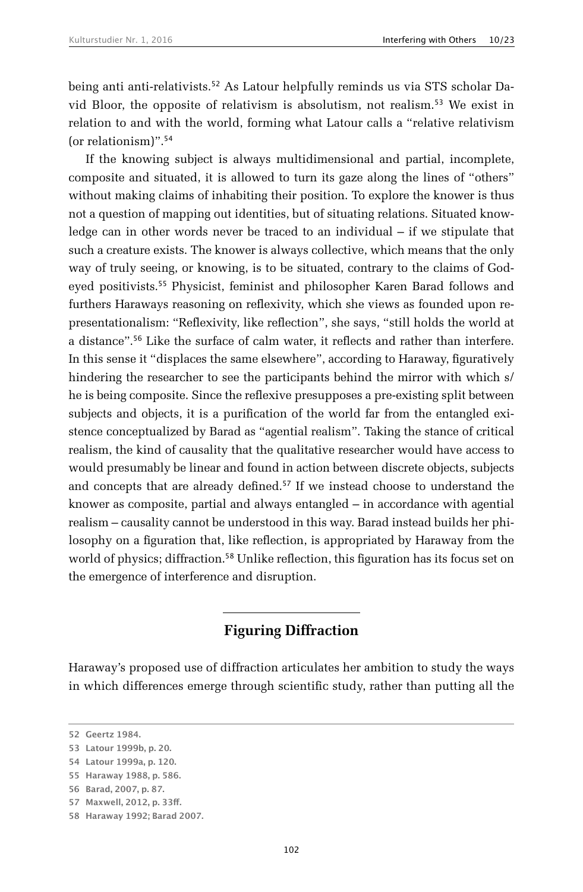being anti anti-relativists.52 As Latour helpfully reminds us via STS scholar David Bloor, the opposite of relativism is absolutism, not realism.53 We exist in relation to and with the world, forming what Latour calls a "relative relativism (or relationism)".<sup>54</sup>

If the knowing subject is always multidimensional and partial, incomplete, composite and situated, it is allowed to turn its gaze along the lines of "others" without making claims of inhabiting their position. To explore the knower is thus not a question of mapping out identities, but of situating relations. Situated knowledge can in other words never be traced to an individual – if we stipulate that such a creature exists. The knower is always collective, which means that the only way of truly seeing, or knowing, is to be situated, contrary to the claims of Godeyed positivists.<sup>55</sup> Physicist, feminist and philosopher Karen Barad follows and furthers Haraways reasoning on reflexivity, which she views as founded upon representationalism: "Reflexivity, like reflection", she says, "still holds the world at a distance".56 Like the surface of calm water, it reflects and rather than interfere. In this sense it "displaces the same elsewhere", according to Haraway, figuratively hindering the researcher to see the participants behind the mirror with which s/ he is being composite. Since the reflexive presupposes a pre-existing split between subjects and objects, it is a purification of the world far from the entangled existence conceptualized by Barad as "agential realism". Taking the stance of critical realism, the kind of causality that the qualitative researcher would have access to would presumably be linear and found in action between discrete objects, subjects and concepts that are already defined.<sup>57</sup> If we instead choose to understand the knower as composite, partial and always entangled – in accordance with agential realism – causality cannot be understood in this way. Barad instead builds her philosophy on a figuration that, like reflection, is appropriated by Haraway from the world of physics; diffraction.<sup>58</sup> Unlike reflection, this figuration has its focus set on the emergence of interference and disruption.

## **Figuring Diffraction**

Haraway's proposed use of diffraction articulates her ambition to study the ways in which differences emerge through scientific study, rather than putting all the

**<sup>52</sup> Geertz 1984.**

**<sup>53</sup> Latour 1999b, p. 20.**

**<sup>54</sup> Latour 1999a, p. 120.**

**<sup>55</sup> Haraway 1988, p. 586.**

**<sup>56</sup> Barad, 2007, p. 87.**

**<sup>57</sup> Maxwell, 2012, p. 33ff.**

**<sup>58</sup> Haraway 1992; Barad 2007.**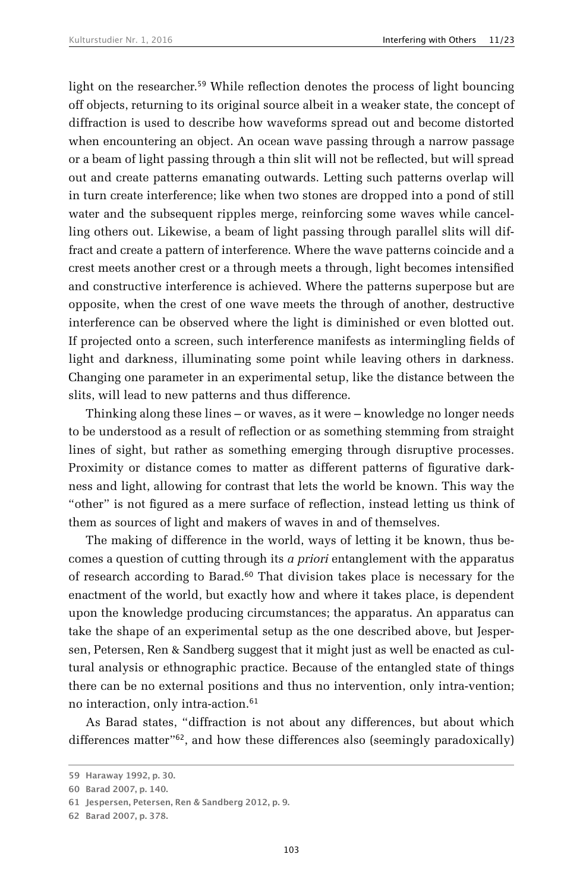light on the researcher.<sup>59</sup> While reflection denotes the process of light bouncing off objects, returning to its original source albeit in a weaker state, the concept of diffraction is used to describe how waveforms spread out and become distorted when encountering an object. An ocean wave passing through a narrow passage or a beam of light passing through a thin slit will not be reflected, but will spread out and create patterns emanating outwards. Letting such patterns overlap will in turn create interference; like when two stones are dropped into a pond of still water and the subsequent ripples merge, reinforcing some waves while cancelling others out. Likewise, a beam of light passing through parallel slits will diffract and create a pattern of interference. Where the wave patterns coincide and a crest meets another crest or a through meets a through, light becomes intensified and constructive interference is achieved. Where the patterns superpose but are opposite, when the crest of one wave meets the through of another, destructive interference can be observed where the light is diminished or even blotted out. If projected onto a screen, such interference manifests as intermingling fields of light and darkness, illuminating some point while leaving others in darkness. Changing one parameter in an experimental setup, like the distance between the slits, will lead to new patterns and thus difference.

Thinking along these lines – or waves, as it were – knowledge no longer needs to be understood as a result of reflection or as something stemming from straight lines of sight, but rather as something emerging through disruptive processes. Proximity or distance comes to matter as different patterns of figurative darkness and light, allowing for contrast that lets the world be known. This way the "other" is not figured as a mere surface of reflection, instead letting us think of them as sources of light and makers of waves in and of themselves.

The making of difference in the world, ways of letting it be known, thus becomes a question of cutting through its *a priori* entanglement with the apparatus of research according to Barad.<sup>60</sup> That division takes place is necessary for the enactment of the world, but exactly how and where it takes place, is dependent upon the knowledge producing circumstances; the apparatus. An apparatus can take the shape of an experimental setup as the one described above, but Jespersen, Petersen, Ren & Sandberg suggest that it might just as well be enacted as cultural analysis or ethnographic practice. Because of the entangled state of things there can be no external positions and thus no intervention, only intra-vention; no interaction, only intra-action.<sup>61</sup>

As Barad states, "diffraction is not about any differences, but about which differences matter"62, and how these differences also (seemingly paradoxically)

**<sup>59</sup> Haraway 1992, p. 30.**

**<sup>60</sup> Barad 2007, p. 140.**

**<sup>61</sup> Jespersen, Petersen, Ren & Sandberg 2012, p. 9.**

**<sup>62</sup> Barad 2007, p. 378.**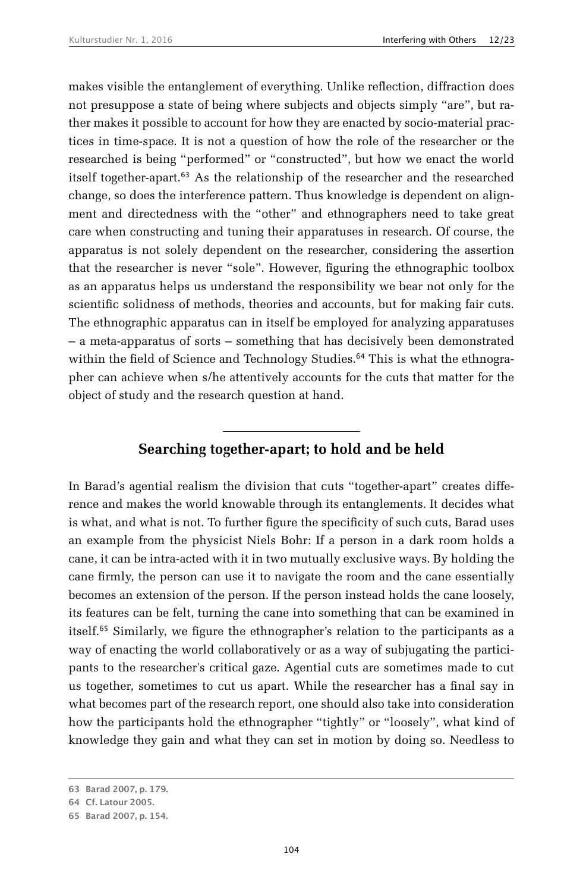makes visible the entanglement of everything. Unlike reflection, diffraction does not presuppose a state of being where subjects and objects simply "are", but rather makes it possible to account for how they are enacted by socio-material practices in time-space. It is not a question of how the role of the researcher or the researched is being "performed" or "constructed", but how we enact the world itself together-apart.63 As the relationship of the researcher and the researched change, so does the interference pattern. Thus knowledge is dependent on alignment and directedness with the "other" and ethnographers need to take great care when constructing and tuning their apparatuses in research. Of course, the apparatus is not solely dependent on the researcher, considering the assertion that the researcher is never "sole". However, figuring the ethnographic toolbox as an apparatus helps us understand the responsibility we bear not only for the scientific solidness of methods, theories and accounts, but for making fair cuts. The ethnographic apparatus can in itself be employed for analyzing apparatuses – a meta-apparatus of sorts – something that has decisively been demonstrated within the field of Science and Technology Studies.<sup>64</sup> This is what the ethnographer can achieve when s/he attentively accounts for the cuts that matter for the object of study and the research question at hand.

## **Searching together-apart; to hold and be held**

In Barad's agential realism the division that cuts "together-apart" creates difference and makes the world knowable through its entanglements. It decides what is what, and what is not. To further figure the specificity of such cuts, Barad uses an example from the physicist Niels Bohr: If a person in a dark room holds a cane, it can be intra-acted with it in two mutually exclusive ways. By holding the cane firmly, the person can use it to navigate the room and the cane essentially becomes an extension of the person. If the person instead holds the cane loosely, its features can be felt, turning the cane into something that can be examined in itself.65 Similarly, we figure the ethnographer's relation to the participants as a way of enacting the world collaboratively or as a way of subjugating the participants to the researcher's critical gaze. Agential cuts are sometimes made to cut us together, sometimes to cut us apart. While the researcher has a final say in what becomes part of the research report, one should also take into consideration how the participants hold the ethnographer "tightly" or "loosely", what kind of knowledge they gain and what they can set in motion by doing so. Needless to

**<sup>63</sup> Barad 2007, p. 179.**

**<sup>64</sup> Cf. Latour 2005.**

**<sup>65</sup> Barad 2007, p. 154.**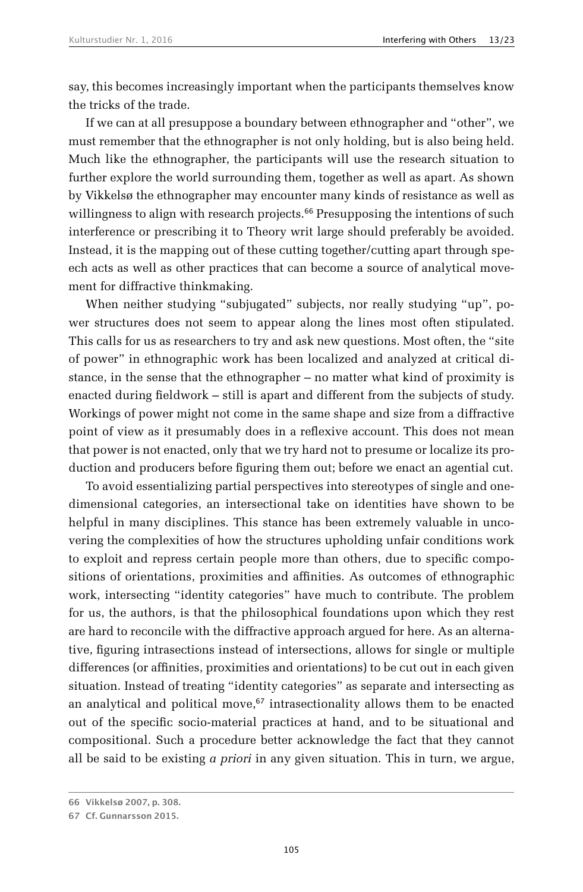say, this becomes increasingly important when the participants themselves know the tricks of the trade.

If we can at all presuppose a boundary between ethnographer and "other", we must remember that the ethnographer is not only holding, but is also being held. Much like the ethnographer, the participants will use the research situation to further explore the world surrounding them, together as well as apart. As shown by Vikkelsø the ethnographer may encounter many kinds of resistance as well as willingness to align with research projects.<sup>66</sup> Presupposing the intentions of such interference or prescribing it to Theory writ large should preferably be avoided. Instead, it is the mapping out of these cutting together/cutting apart through speech acts as well as other practices that can become a source of analytical movement for diffractive thinkmaking.

When neither studying "subjugated" subjects, nor really studying "up", power structures does not seem to appear along the lines most often stipulated. This calls for us as researchers to try and ask new questions. Most often, the "site of power" in ethnographic work has been localized and analyzed at critical distance, in the sense that the ethnographer – no matter what kind of proximity is enacted during fieldwork – still is apart and different from the subjects of study. Workings of power might not come in the same shape and size from a diffractive point of view as it presumably does in a reflexive account. This does not mean that power is not enacted, only that we try hard not to presume or localize its production and producers before figuring them out; before we enact an agential cut.

To avoid essentializing partial perspectives into stereotypes of single and onedimensional categories, an intersectional take on identities have shown to be helpful in many disciplines. This stance has been extremely valuable in uncovering the complexities of how the structures upholding unfair conditions work to exploit and repress certain people more than others, due to specific compositions of orientations, proximities and affinities. As outcomes of ethnographic work, intersecting "identity categories" have much to contribute. The problem for us, the authors, is that the philosophical foundations upon which they rest are hard to reconcile with the diffractive approach argued for here. As an alternative, figuring intrasections instead of intersections, allows for single or multiple differences (or affinities, proximities and orientations) to be cut out in each given situation. Instead of treating "identity categories" as separate and intersecting as an analytical and political move, $67$  intrasectionality allows them to be enacted out of the specific socio-material practices at hand, and to be situational and compositional. Such a procedure better acknowledge the fact that they cannot all be said to be existing *a priori* in any given situation. This in turn, we argue,

**<sup>66</sup> Vikkelsø 2007, p. 308.**

**<sup>67</sup> Cf. Gunnarsson 2015.**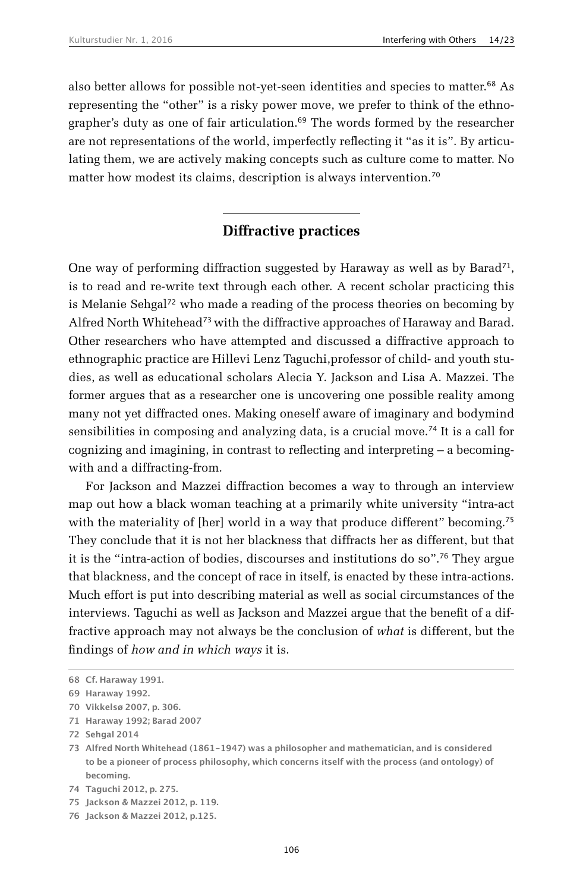also better allows for possible not-yet-seen identities and species to matter.68 As representing the "other" is a risky power move, we prefer to think of the ethnographer's duty as one of fair articulation.<sup>69</sup> The words formed by the researcher are not representations of the world, imperfectly reflecting it "as it is". By articulating them, we are actively making concepts such as culture come to matter. No matter how modest its claims, description is always intervention.<sup>70</sup>

#### **Diffractive practices**

One way of performing diffraction suggested by Haraway as well as by Barad<sup>71</sup>, is to read and re-write text through each other. A recent scholar practicing this is Melanie Sehgal<sup>72</sup> who made a reading of the process theories on becoming by Alfred North Whitehead<sup>73</sup> with the diffractive approaches of Haraway and Barad. Other researchers who have attempted and discussed a diffractive approach to ethnographic practice are Hillevi Lenz Taguchi,professor of child- and youth studies, as well as educational scholars Alecia Y. Jackson and Lisa A. Mazzei. The former argues that as a researcher one is uncovering one possible reality among many not yet diffracted ones. Making oneself aware of imaginary and bodymind sensibilities in composing and analyzing data, is a crucial move.74 It is a call for cognizing and imagining, in contrast to reflecting and interpreting – a becomingwith and a diffracting-from.

For Jackson and Mazzei diffraction becomes a way to through an interview map out how a black woman teaching at a primarily white university "intra-act with the materiality of [her] world in a way that produce different" becoming.<sup>75</sup> They conclude that it is not her blackness that diffracts her as different, but that it is the "intra-action of bodies, discourses and institutions do so".76 They argue that blackness, and the concept of race in itself, is enacted by these intra-actions. Much effort is put into describing material as well as social circumstances of the interviews. Taguchi as well as Jackson and Mazzei argue that the benefit of a diffractive approach may not always be the conclusion of *what* is different, but the findings of *how and in which ways* it is.

**<sup>68</sup> Cf. Haraway 1991.**

**<sup>69</sup> Haraway 1992.**

**<sup>70</sup> Vikkelsø 2007, p. 306.**

**<sup>71</sup> Haraway 1992; Barad 2007**

**<sup>72</sup> Sehgal 2014**

**<sup>73</sup> Alfred North Whitehead (1861-1947) was a philosopher and mathematician, and is considered to be a pioneer of process philosophy, which concerns itself with the process (and ontology) of becoming.**

**<sup>74</sup> Taguchi 2012, p. 275.**

**<sup>75</sup> Jackson & Mazzei 2012, p. 119.**

**<sup>76</sup> Jackson & Mazzei 2012, p.125.**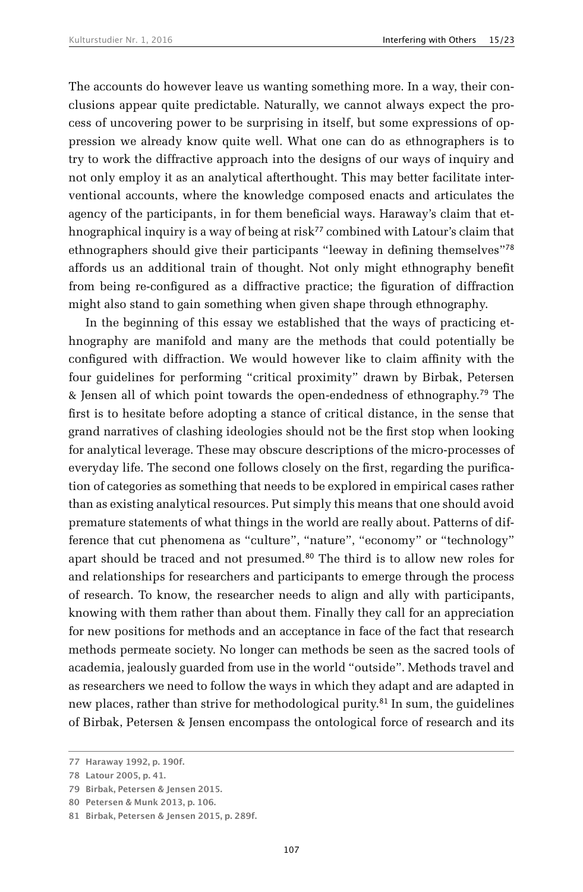The accounts do however leave us wanting something more. In a way, their conclusions appear quite predictable. Naturally, we cannot always expect the process of uncovering power to be surprising in itself, but some expressions of oppression we already know quite well. What one can do as ethnographers is to try to work the diffractive approach into the designs of our ways of inquiry and not only employ it as an analytical afterthought. This may better facilitate interventional accounts, where the knowledge composed enacts and articulates the agency of the participants, in for them beneficial ways. Haraway's claim that ethnographical inquiry is a way of being at risk<sup>77</sup> combined with Latour's claim that ethnographers should give their participants "leeway in defining themselves"<sup>78</sup> affords us an additional train of thought. Not only might ethnography benefit from being re-configured as a diffractive practice; the figuration of diffraction might also stand to gain something when given shape through ethnography.

In the beginning of this essay we established that the ways of practicing ethnography are manifold and many are the methods that could potentially be configured with diffraction. We would however like to claim affinity with the four guidelines for performing "critical proximity" drawn by Birbak, Petersen & Jensen all of which point towards the open-endedness of ethnography.79 The first is to hesitate before adopting a stance of critical distance, in the sense that grand narratives of clashing ideologies should not be the first stop when looking for analytical leverage. These may obscure descriptions of the micro-processes of everyday life. The second one follows closely on the first, regarding the purification of categories as something that needs to be explored in empirical cases rather than as existing analytical resources. Put simply this means that one should avoid premature statements of what things in the world are really about. Patterns of difference that cut phenomena as "culture", "nature", "economy" or "technology" apart should be traced and not presumed.<sup>80</sup> The third is to allow new roles for and relationships for researchers and participants to emerge through the process of research. To know, the researcher needs to align and ally with participants, knowing with them rather than about them. Finally they call for an appreciation for new positions for methods and an acceptance in face of the fact that research methods permeate society. No longer can methods be seen as the sacred tools of academia, jealously guarded from use in the world "outside". Methods travel and as researchers we need to follow the ways in which they adapt and are adapted in new places, rather than strive for methodological purity.81 In sum, the guidelines of Birbak, Petersen & Jensen encompass the ontological force of research and its

**<sup>77</sup> Haraway 1992, p. 190f.**

**<sup>78</sup> Latour 2005, p. 41.**

**<sup>79</sup> Birbak, Petersen & Jensen 2015.**

**<sup>80</sup> Petersen & Munk 2013, p. 106.**

**<sup>81</sup> Birbak, Petersen & Jensen 2015, p. 289f.**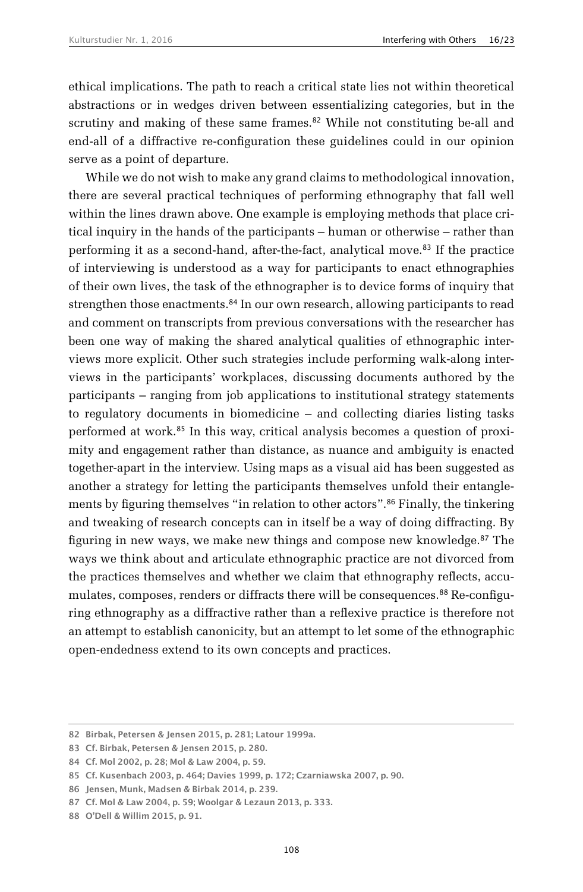ethical implications. The path to reach a critical state lies not within theoretical abstractions or in wedges driven between essentializing categories, but in the scrutiny and making of these same frames.<sup>82</sup> While not constituting be-all and end-all of a diffractive re-configuration these guidelines could in our opinion serve as a point of departure.

While we do not wish to make any grand claims to methodological innovation, there are several practical techniques of performing ethnography that fall well within the lines drawn above. One example is employing methods that place critical inquiry in the hands of the participants – human or otherwise – rather than performing it as a second-hand, after-the-fact, analytical move.83 If the practice of interviewing is understood as a way for participants to enact ethnographies of their own lives, the task of the ethnographer is to device forms of inquiry that strengthen those enactments.84 In our own research, allowing participants to read and comment on transcripts from previous conversations with the researcher has been one way of making the shared analytical qualities of ethnographic interviews more explicit. Other such strategies include performing walk-along interviews in the participants' workplaces, discussing documents authored by the participants – ranging from job applications to institutional strategy statements to regulatory documents in biomedicine – and collecting diaries listing tasks performed at work.85 In this way, critical analysis becomes a question of proximity and engagement rather than distance, as nuance and ambiguity is enacted together-apart in the interview. Using maps as a visual aid has been suggested as another a strategy for letting the participants themselves unfold their entanglements by figuring themselves "in relation to other actors".<sup>86</sup> Finally, the tinkering and tweaking of research concepts can in itself be a way of doing diffracting. By figuring in new ways, we make new things and compose new knowledge.87 The ways we think about and articulate ethnographic practice are not divorced from the practices themselves and whether we claim that ethnography reflects, accumulates, composes, renders or diffracts there will be consequences.<sup>88</sup> Re-configuring ethnography as a diffractive rather than a reflexive practice is therefore not an attempt to establish canonicity, but an attempt to let some of the ethnographic open-endedness extend to its own concepts and practices.

**<sup>82</sup> Birbak, Petersen & Jensen 2015, p. 281; Latour 1999a.**

**<sup>83</sup> Cf. Birbak, Petersen & Jensen 2015, p. 280.**

**<sup>84</sup> Cf. Mol 2002, p. 28; Mol & Law 2004, p. 59.**

**<sup>85</sup> Cf. Kusenbach 2003, p. 464; Davies 1999, p. 172; Czarniawska 2007, p. 90.**

**<sup>86</sup> Jensen, Munk, Madsen & Birbak 2014, p. 239.**

**<sup>87</sup> Cf. Mol & Law 2004, p. 59; Woolgar & Lezaun 2013, p. 333.**

**<sup>88</sup> O'Dell & Willim 2015, p. 91.**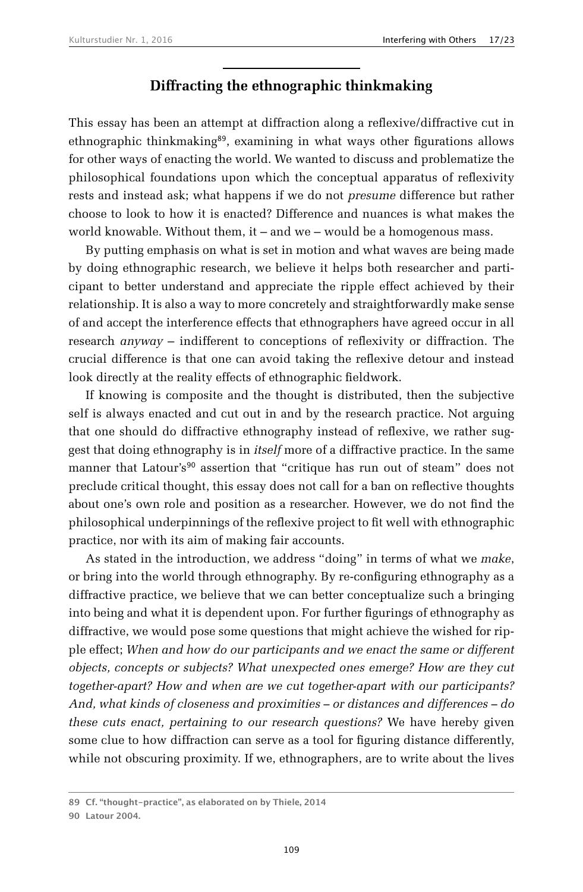#### **Diffracting the ethnographic thinkmaking**

This essay has been an attempt at diffraction along a reflexive/diffractive cut in ethnographic thinkmaking<sup>89</sup>, examining in what ways other figurations allows for other ways of enacting the world. We wanted to discuss and problematize the philosophical foundations upon which the conceptual apparatus of reflexivity rests and instead ask; what happens if we do not *presume* difference but rather choose to look to how it is enacted? Difference and nuances is what makes the world knowable. Without them, it – and we – would be a homogenous mass.

By putting emphasis on what is set in motion and what waves are being made by doing ethnographic research, we believe it helps both researcher and participant to better understand and appreciate the ripple effect achieved by their relationship. It is also a way to more concretely and straightforwardly make sense of and accept the interference effects that ethnographers have agreed occur in all research *anyway* – indifferent to conceptions of reflexivity or diffraction. The crucial difference is that one can avoid taking the reflexive detour and instead look directly at the reality effects of ethnographic fieldwork.

If knowing is composite and the thought is distributed, then the subjective self is always enacted and cut out in and by the research practice. Not arguing that one should do diffractive ethnography instead of reflexive, we rather suggest that doing ethnography is in *itself* more of a diffractive practice. In the same manner that Latour's<sup>90</sup> assertion that "critique has run out of steam" does not preclude critical thought, this essay does not call for a ban on reflective thoughts about one's own role and position as a researcher. However, we do not find the philosophical underpinnings of the reflexive project to fit well with ethnographic practice, nor with its aim of making fair accounts.

As stated in the introduction, we address "doing" in terms of what we *make*, or bring into the world through ethnography. By re-configuring ethnography as a diffractive practice, we believe that we can better conceptualize such a bringing into being and what it is dependent upon. For further figurings of ethnography as diffractive, we would pose some questions that might achieve the wished for ripple effect; *When and how do our participants and we enact the same or different objects, concepts or subjects? What unexpected ones emerge? How are they cut together-apart? How and when are we cut together-apart with our participants? And, what kinds of closeness and proximities – or distances and differences – do these cuts enact, pertaining to our research questions?* We have hereby given some clue to how diffraction can serve as a tool for figuring distance differently, while not obscuring proximity. If we, ethnographers, are to write about the lives

**<sup>89</sup> Cf. "thought-practice", as elaborated on by Thiele, 2014**

**<sup>90</sup> Latour 2004.**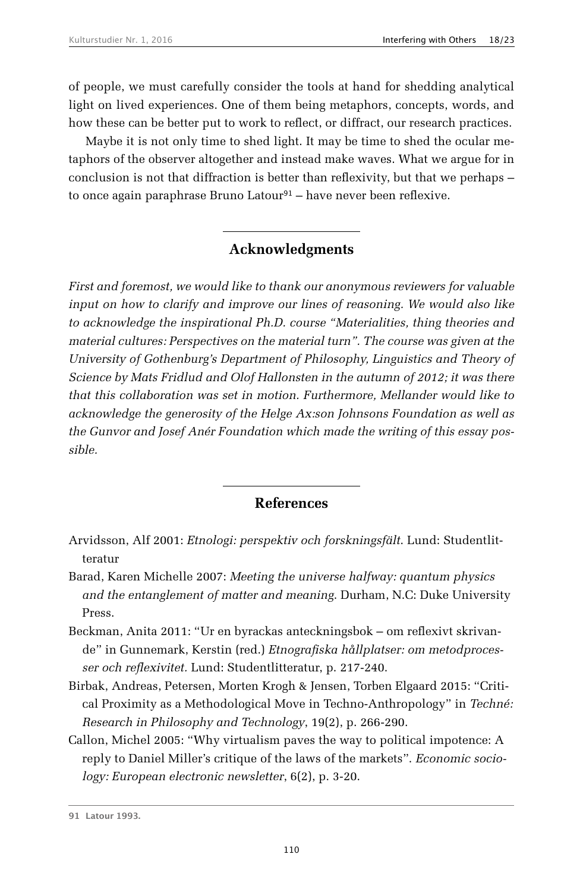of people, we must carefully consider the tools at hand for shedding analytical light on lived experiences. One of them being metaphors, concepts, words, and how these can be better put to work to reflect, or diffract, our research practices.

Maybe it is not only time to shed light. It may be time to shed the ocular metaphors of the observer altogether and instead make waves. What we argue for in conclusion is not that diffraction is better than reflexivity, but that we perhaps – to once again paraphrase Bruno Latour<sup>91</sup> – have never been reflexive.

## **Acknowledgments**

*First and foremost, we would like to thank our anonymous reviewers for valuable input on how to clarify and improve our lines of reasoning. We would also like to acknowledge the inspirational Ph.D. course "Materialities, thing theories and material cultures: Perspectives on the material turn". The course was given at the University of Gothenburg's Department of Philosophy, Linguistics and Theory of Science by Mats Fridlud and Olof Hallonsten in the autumn of 2012; it was there that this collaboration was set in motion. Furthermore, Mellander would like to acknowledge the generosity of the Helge Ax:son Johnsons Foundation as well as the Gunvor and Josef Anér Foundation which made the writing of this essay possible.*

## **References**

- Arvidsson, Alf 2001: *Etnologi: perspektiv och forskningsfält*. Lund: Studentlitteratur
- Barad, Karen Michelle 2007: *Meeting the universe halfway: quantum physics and the entanglement of matter and meaning*. Durham, N.C: Duke University Press.
- Beckman, Anita 2011: "Ur en byrackas anteckningsbok om reflexivt skrivande" in Gunnemark, Kerstin (red.) *Etnografiska hållplatser: om metodprocesser och reflexivitet.* Lund: Studentlitteratur, p. 217-240.
- Birbak, Andreas, Petersen, Morten Krogh & Jensen, Torben Elgaard 2015: "Critical Proximity as a Methodological Move in Techno-Anthropology" in *Techné: Research in Philosophy and Technology*, 19(2), p. 266-290.
- Callon, Michel 2005: "Why virtualism paves the way to political impotence: A reply to Daniel Miller's critique of the laws of the markets". *Economic sociology: European electronic newsletter*, 6(2), p. 3-20.

**<sup>91</sup> Latour 1993.**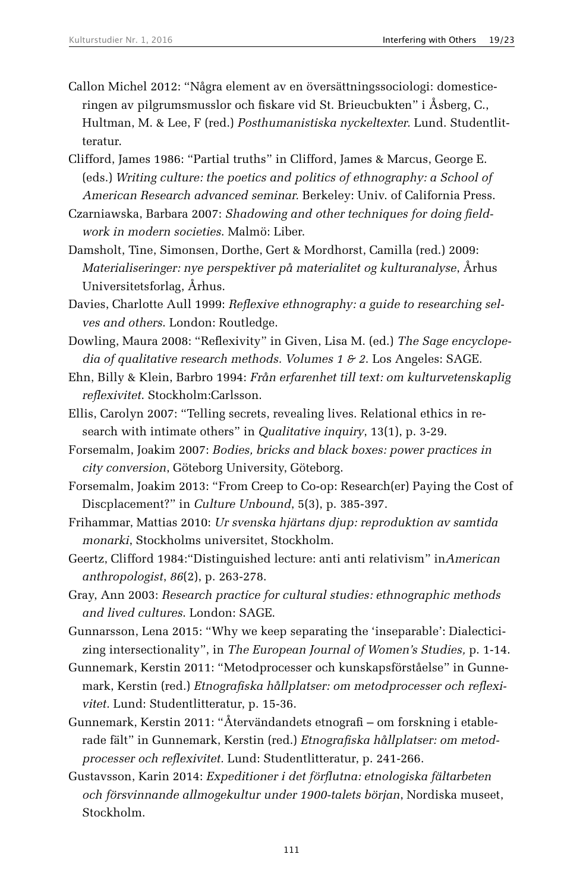- Callon Michel 2012: "Några element av en översättningssociologi: domesticeringen av pilgrumsmusslor och fiskare vid St. Brieucbukten" i Åsberg, C., Hultman, M. & Lee, F (red.) *Posthumanistiska nyckeltexter.* Lund. Studentlitteratur.
- Clifford, James 1986: "Partial truths" in Clifford, James & Marcus, George E. (eds.) *Writing culture: the poetics and politics of ethnography: a School of American Research advanced seminar.* Berkeley: Univ. of California Press.
- Czarniawska, Barbara 2007: *Shadowing and other techniques for doing fieldwork in modern societies*. Malmö: Liber.
- Damsholt, Tine, Simonsen, Dorthe, Gert & Mordhorst, Camilla (red.) 2009: *Materialiseringer: nye perspektiver på materialitet og kulturanalyse*, Århus Universitetsforlag, Århus.
- Davies, Charlotte Aull 1999: *Reflexive ethnography: a guide to researching selves and others*. London: Routledge.
- Dowling, Maura 2008: "Reflexivity" in Given, Lisa M. (ed.) *The Sage encyclopedia of qualitative research methods. Volumes 1 & 2*. Los Angeles: SAGE.
- Ehn, Billy & Klein, Barbro 1994: *Från erfarenhet till text: om kulturvetenskaplig reflexivitet*. Stockholm:Carlsson.
- Ellis, Carolyn 2007: "Telling secrets, revealing lives. Relational ethics in research with intimate others" in *Qualitative inquiry*, 13(1), p. 3-29.
- Forsemalm, Joakim 2007: *Bodies, bricks and black boxes: power practices in city conversion*, Göteborg University, Göteborg.
- Forsemalm, Joakim 2013: "From Creep to Co-op: Research(er) Paying the Cost of Discplacement?" in *Culture Unbound*, 5(3), p. 385-397.
- Frihammar, Mattias 2010: *Ur svenska hjärtans djup: reproduktion av samtida monarki*, Stockholms universitet, Stockholm.
- Geertz, Clifford 1984:"Distinguished lecture: anti anti relativism" in*American anthropologist*, *86*(2), p. 263-278.
- Gray, Ann 2003: *Research practice for cultural studies: ethnographic methods and lived cultures*. London: SAGE.
- Gunnarsson, Lena 2015: "Why we keep separating the 'inseparable': Dialecticizing intersectionality", in *The European Journal of Women's Studies,* p. 1-14.
- Gunnemark, Kerstin 2011: "Metodprocesser och kunskapsförståelse" in Gunnemark, Kerstin (red.) *Etnografiska hållplatser: om metodprocesser och reflexivitet.* Lund: Studentlitteratur, p. 15-36.
- Gunnemark, Kerstin 2011: "Återvändandets etnografi om forskning i etablerade fält" in Gunnemark, Kerstin (red.) *Etnografiska hållplatser: om metodprocesser och reflexivitet.* Lund: Studentlitteratur, p. 241-266.
- Gustavsson, Karin 2014: *Expeditioner i det förflutna: etnologiska fältarbeten och försvinnande allmogekultur under 1900-talets början*, Nordiska museet, Stockholm.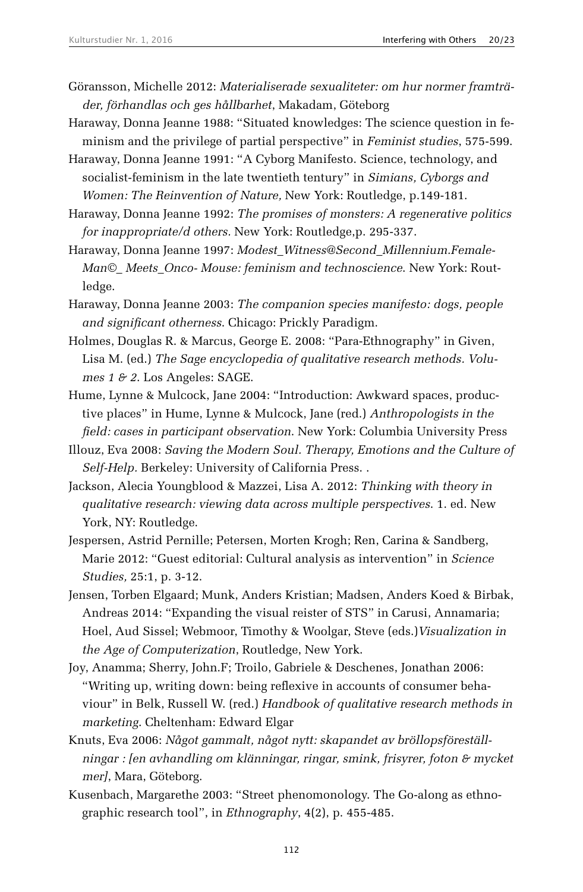- Göransson, Michelle 2012: *Materialiserade sexualiteter: om hur normer framträder, förhandlas och ges hållbarhet*, Makadam, Göteborg
- Haraway, Donna Jeanne 1988: "Situated knowledges: The science question in feminism and the privilege of partial perspective" in *Feminist studies*, 575-599.
- Haraway, Donna Jeanne 1991: "A Cyborg Manifesto. Science, technology, and socialist-feminism in the late twentieth tentury" in *Simians, Cyborgs and Women: The Reinvention of Nature,* New York: Routledge, p.149-181.
- Haraway, Donna Jeanne 1992: *The promises of monsters: A regenerative politics for inappropriate/d others.* New York: Routledge,p. 295-337.
- Haraway, Donna Jeanne 1997: *Modest\_Witness@Second\_Millennium.Female-Man©\_ Meets\_Onco- Mouse: feminism and technoscience*. New York: Routledge.
- Haraway, Donna Jeanne 2003: *The companion species manifesto: dogs, people and significant otherness*. Chicago: Prickly Paradigm.
- Holmes, Douglas R. & Marcus, George E. 2008: "Para-Ethnography" in Given, Lisa M. (ed.) *The Sage encyclopedia of qualitative research methods. Volumes 1 & 2*. Los Angeles: SAGE.
- Hume, Lynne & Mulcock, Jane 2004: "Introduction: Awkward spaces, productive places" in Hume, Lynne & Mulcock, Jane (red.) *Anthropologists in the field: cases in participant observation*. New York: Columbia University Press
- Illouz, Eva 2008: *Saving the Modern Soul. Therapy, Emotions and the Culture of Self-Help.* Berkeley: University of California Press. .
- Jackson, Alecia Youngblood & Mazzei, Lisa A. 2012: *Thinking with theory in qualitative research: viewing data across multiple perspectives*. 1. ed. New York, NY: Routledge.
- Jespersen, Astrid Pernille; Petersen, Morten Krogh; Ren, Carina & Sandberg, Marie 2012: "Guest editorial: Cultural analysis as intervention" in *Science Studies,* 25:1, p. 3-12.
- Jensen, Torben Elgaard; Munk, Anders Kristian; Madsen, Anders Koed & Birbak, Andreas 2014: "Expanding the visual reister of STS" in Carusi, Annamaria; Hoel, Aud Sissel; Webmoor, Timothy & Woolgar, Steve (eds.)*Visualization in the Age of Computerization*, Routledge, New York.
- Joy, Anamma; Sherry, John.F; Troilo, Gabriele & Deschenes, Jonathan 2006: "Writing up, writing down: being reflexive in accounts of consumer behaviour" in Belk, Russell W. (red.) *Handbook of qualitative research methods in marketing*. Cheltenham: Edward Elgar
- Knuts, Eva 2006: *Något gammalt, något nytt: skapandet av bröllopsföreställningar : [en avhandling om klänningar, ringar, smink, frisyrer, foton & mycket mer]*, Mara, Göteborg.
- Kusenbach, Margarethe 2003: "Street phenomonology. The Go-along as ethnographic research tool", in *Ethnography*, 4(2), p. 455-485.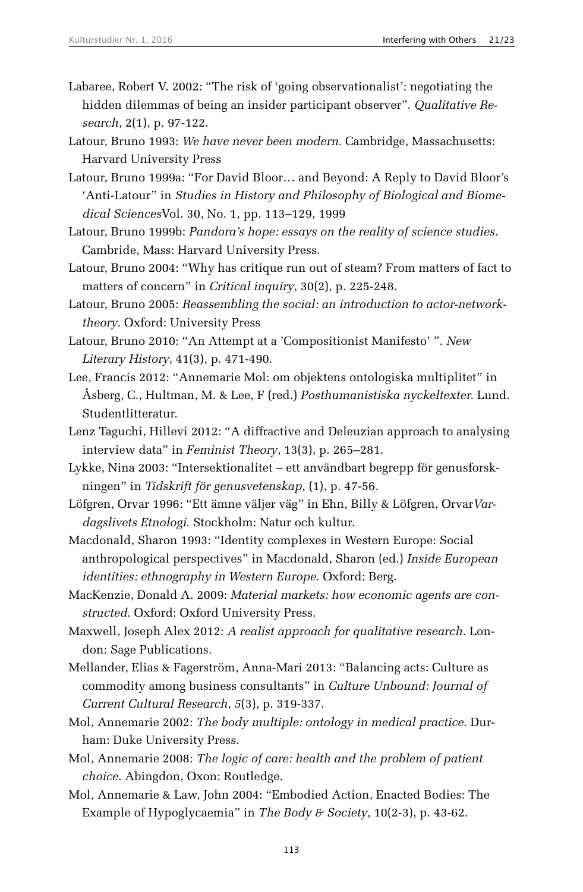- Labaree, Robert V. 2002: "The risk of 'going observationalist': negotiating the hidden dilemmas of being an insider participant observer". *Qualitative Research*, 2(1), p. 97-122.
- Latour, Bruno 1993: *We have never been modern.* Cambridge, Massachusetts: Harvard University Press
- Latour, Bruno 1999a: "For David Bloor… and Beyond: A Reply to David Bloor's 'Anti-Latour" in *Studies in History and Philosophy of Biological and Biomedical Sciences*Vol. 30, No. 1, pp. 113–129, 1999
- Latour, Bruno 1999b: *Pandora's hope: essays on the reality of science studies*. Cambride, Mass: Harvard University Press.
- Latour, Bruno 2004: "Why has critique run out of steam? From matters of fact to matters of concern" in *Critical inquiry*, 30(2), p. 225-248.
- Latour, Bruno 2005: *Reassembling the social: an introduction to actor-networktheory*. Oxford: University Press
- Latour, Bruno 2010: "An Attempt at a 'Compositionist Manifesto' ". *New Literary History*, 41(3), p. 471-490.
- Lee, Francis 2012: "Annemarie Mol: om objektens ontologiska multiplitet" in Åsberg, C., Hultman, M. & Lee, F (red.) *Posthumanistiska nyckeltexter.* Lund. Studentlitteratur.
- Lenz Taguchi, Hillevi 2012: "A diffractive and Deleuzian approach to analysing interview data" in *Feminist Theory*, 13(3), p. 265–281.
- Lykke, Nina 2003: "Intersektionalitet ett användbart begrepp för genusforskningen" in *Tidskrift för genusvetenskap*, (1), p. 47-56.
- Löfgren, Orvar 1996: "Ett ämne väljer väg" in Ehn, Billy & Löfgren, Orvar*Vardagslivets Etnologi*. Stockholm: Natur och kultur.
- Macdonald, Sharon 1993: "Identity complexes in Western Europe: Social anthropological perspectives" in Macdonald, Sharon (ed.) *Inside European identities: ethnography in Western Europe*. Oxford: Berg.
- MacKenzie, Donald A. 2009: *Material markets: how economic agents are constructed*. Oxford: Oxford University Press.
- Maxwell, Joseph Alex 2012: *A realist approach for qualitative research.* London: Sage Publications.
- Mellander, Elias & Fagerström, Anna-Mari 2013: "Balancing acts: Culture as commodity among business consultants" in *Culture Unbound: Journal of Current Cultural Research*, *5*(3), p. 319-337.
- Mol, Annemarie 2002: *The body multiple: ontology in medical practice.* Durham: Duke University Press.
- Mol, Annemarie 2008: *The logic of care: health and the problem of patient choice*. Abingdon, Oxon: Routledge.
- Mol, Annemarie & Law, John 2004: "Embodied Action, Enacted Bodies: The Example of Hypoglycaemia" in *The Body & Society*, 10(2-3), p. 43-62.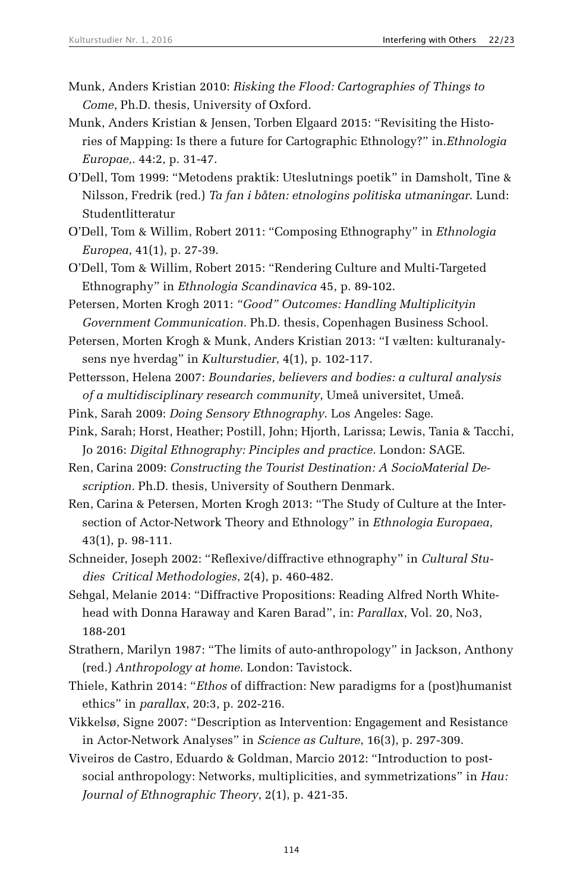- Munk, Anders Kristian 2010: *Risking the Flood: Cartographies of Things to Come*, Ph.D. thesis, University of Oxford.
- Munk, Anders Kristian & Jensen, Torben Elgaard 2015: "Revisiting the Histories of Mapping: Is there a future for Cartographic Ethnology?" in.*Ethnologia Europae,.* 44:2*,* p. 31-47.
- O'Dell, Tom 1999: "Metodens praktik: Uteslutnings poetik" in Damsholt, Tine & Nilsson, Fredrik (red.) *Ta fan i båten: etnologins politiska utmaningar*. Lund: Studentlitteratur
- O'Dell, Tom & Willim, Robert 2011: "Composing Ethnography" in *Ethnologia Europea*, 41(1), p. 27-39.
- O'Dell, Tom & Willim, Robert 2015: "Rendering Culture and Multi-Targeted Ethnography" in *Ethnologia Scandinavica* 45, p. 89-102.
- Petersen, Morten Krogh 2011: *"Good" Outcomes: Handling Multiplicityin Government Communication.* Ph.D. thesis, Copenhagen Business School.
- Petersen, Morten Krogh & Munk, Anders Kristian 2013: "I vælten: kulturanalysens nye hverdag" in *Kulturstudier*, 4(1), p. 102-117.
- Pettersson, Helena 2007: *Boundaries, believers and bodies: a cultural analysis of a multidisciplinary research community*, Umeå universitet, Umeå.
- Pink, Sarah 2009: *Doing Sensory Ethnography*. Los Angeles: Sage.
- Pink, Sarah; Horst, Heather; Postill, John; Hjorth, Larissa; Lewis, Tania & Tacchi, Jo 2016: *Digital Ethnography: Pinciples and practice.* London: SAGE.
- Ren, Carina 2009: *Constructing the Tourist Destination: A SocioMaterial Description.* Ph.D. thesis, University of Southern Denmark.
- Ren, Carina & Petersen, Morten Krogh 2013: "The Study of Culture at the Intersection of Actor-Network Theory and Ethnology" in *Ethnologia Europaea*, 43(1), p. 98-111.
- Schneider, Joseph 2002: "Reflexive/diffractive ethnography" in *Cultural Studies↔ Critical Methodologies*, 2(4), p. 460-482.
- Sehgal, Melanie 2014: "Diffractive Propositions: Reading Alfred North Whitehead with Donna Haraway and Karen Barad", in: *Parallax*, Vol. 20, No3, 188-201
- Strathern, Marilyn 1987: "The limits of auto-anthropology" in Jackson, Anthony (red.) *Anthropology at home*. London: Tavistock.
- Thiele, Kathrin 2014: "*Ethos* of diffraction: New paradigms for a (post)humanist ethics" in *parallax*, 20:3, p. 202-216.
- Vikkelsø, Signe 2007: "Description as Intervention: Engagement and Resistance in Actor-Network Analyses" in *Science as Culture*, 16(3), p. 297-309.
- Viveiros de Castro, Eduardo & Goldman, Marcio 2012: "Introduction to postsocial anthropology: Networks, multiplicities, and symmetrizations" in *Hau: Journal of Ethnographic Theory*, 2(1), p. 421-35.